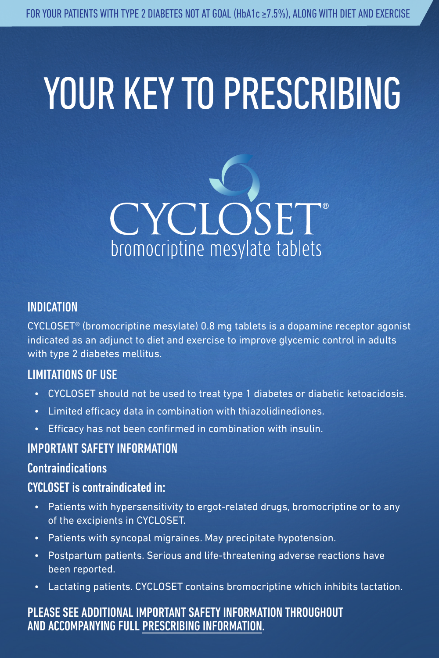# YOUR KEY TO PRESCRIBING



#### INDICATION

CYCLOSET® (bromocriptine mesylate) 0.8 mg tablets is a dopamine receptor agonist indicated as an adjunct to diet and exercise to improve glycemic control in adults with type 2 diabetes mellitus.

#### LIMITATIONS OF USE

- CYCLOSET should not be used to treat type 1 diabetes or diabetic ketoacidosis.
- Limited efficacy data in combination with thiazolidinediones.
- Efficacy has not been confirmed in combination with insulin.

#### IMPORTANT SAFETY INFORMATION

#### Contraindications

#### CYCLOSET is contraindicated in:

- Patients with hypersensitivity to ergot-related drugs, bromocriptine or to any of the excipients in CYCLOSET.
- Patients with syncopal migraines. May precipitate hypotension.
- Postpartum patients. Serious and life-threatening adverse reactions have been reported.
- Lactating patients. CYCLOSET contains bromocriptine which inhibits lactation.

#### PLEASE SEE ADDITIONAL IMPORTANT SAFETY INFORMATION THROUGHOUT AND ACCOMPANYING FULL PRESCRIBING INFORMATION.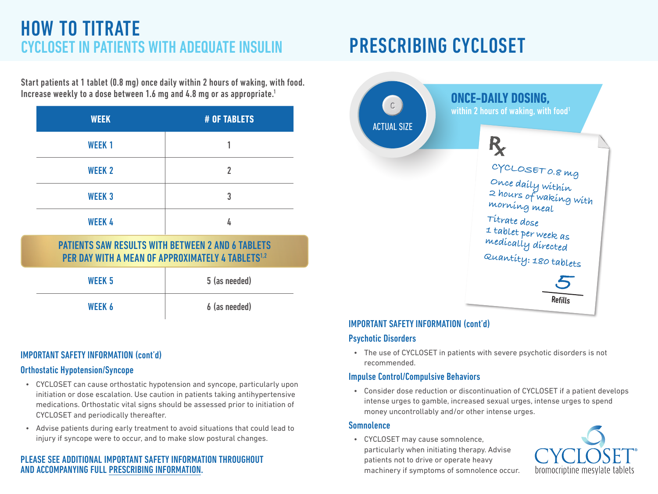## HOW TO TITRATE CYCLOSET IN PATIENTS WITH ADEQUATE INSULIN PRESCRIBING CYCLOSET

Start patients at 1 tablet (0.8 mg) once daily within 2 hours of waking, with food. Increase weekly to a dose between 1.6 mg and 4.8 mg or as appropriate.<sup>1</sup>

| <b>WEEK</b>   | # OF TABLETS |
|---------------|--------------|
| <b>WEEK1</b>  |              |
| <b>WEEK 2</b> | 2            |
| <b>WEEK3</b>  | 3            |
| <b>WEEK 4</b> | Ь            |

### PATIENTS SAW RESULTS WITH BETWEEN 2 AND 6 TABLETS PER DAY WITH A MEAN OF APPROXIMATELY 4 TABLETS<sup>1,2</sup>

| WEEK 5 | 5 (as needed) |
|--------|---------------|
| WEEK 6 | 6 (as needed) |

#### IMPORTANT SAFETY INFORMATION (cont'd)

#### Orthostatic Hypotension/Syncope

- CYCLOSET can cause orthostatic hypotension and syncope, particularly upon initiation or dose escalation. Use caution in patients taking antihypertensive medications. Orthostatic vital signs should be assessed prior to initiation of CYCLOSET and periodically thereafter.
- Advise patients during early treatment to avoid situations that could lead to injury if syncope were to occur, and to make slow postural changes.

#### PLEASE SEE ADDITIONAL IMPORTANT SAFETY INFORMATION THROUGHOUT AND ACCOMPANYING FULL PRESCRIBING INFORMATION.



#### IMPORTANT SAFETY INFORMATION (cont'd)

#### Psychotic Disorders

• The use of CYCLOSET in patients with severe psychotic disorders is not recommended.

#### Impulse Control/Compulsive Behaviors

• Consider dose reduction or discontinuation of CYCLOSET if a patient develops intense urges to gamble, increased sexual urges, intense urges to spend money uncontrollably and/or other intense urges.

#### Somnolence

• CYCLOSET may cause somnolence, particularly when initiating therapy. Advise patients not to drive or operate heavy machinery if symptoms of somnolence occur.